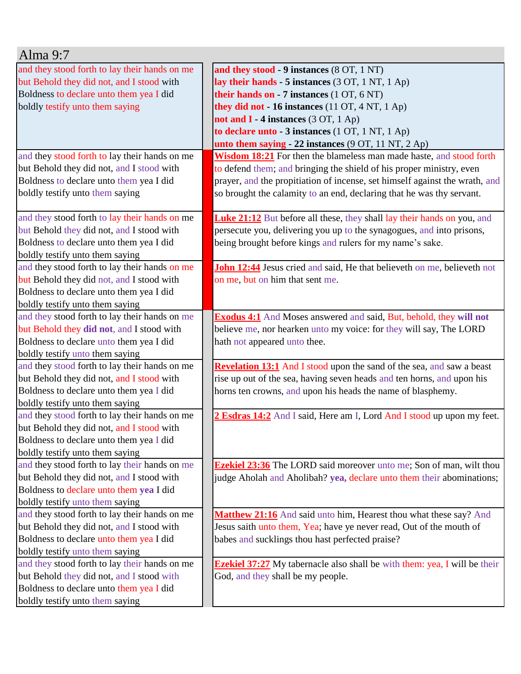| Alma $9:7$                                                                           |                                                                                  |
|--------------------------------------------------------------------------------------|----------------------------------------------------------------------------------|
| and they stood forth to lay their hands on me                                        | and they stood - 9 instances (8 OT, 1 NT)                                        |
| but Behold they did not, and I stood with                                            | lay their hands - 5 instances (3 OT, 1 NT, 1 Ap)                                 |
| Boldness to declare unto them yea I did                                              | their hands on - 7 instances $(1 OT, 6 NT)$                                      |
| boldly testify unto them saying                                                      | they did not $-16$ instances (11 OT, 4 NT, 1 Ap)                                 |
|                                                                                      | not and $I - 4$ instances (3 OT, 1 Ap)                                           |
|                                                                                      | to declare unto - 3 instances (1 OT, 1 NT, 1 Ap)                                 |
|                                                                                      | unto them saying $-22$ instances (9 OT, 11 NT, 2 Ap)                             |
| and they stood forth to lay their hands on me                                        | Wisdom 18:21 For then the blameless man made haste, and stood forth              |
| but Behold they did not, and I stood with                                            | to defend them; and bringing the shield of his proper ministry, even             |
| Boldness to declare unto them yea I did                                              | prayer, and the propitiation of incense, set himself against the wrath, and      |
| boldly testify unto them saying                                                      | so brought the calamity to an end, declaring that he was thy servant.            |
|                                                                                      |                                                                                  |
| and they stood forth to lay their hands on me                                        | <b>Luke 21:12</b> But before all these, they shall lay their hands on you, and   |
| but Behold they did not, and I stood with                                            | persecute you, delivering you up to the synagogues, and into prisons,            |
| Boldness to declare unto them yea I did                                              | being brought before kings and rulers for my name's sake.                        |
| boldly testify unto them saying                                                      |                                                                                  |
| and they stood forth to lay their hands on me                                        | John 12:44 Jesus cried and said, He that believeth on me, believeth not          |
| but Behold they did not, and I stood with                                            | on me, but on him that sent me.                                                  |
| Boldness to declare unto them yea I did                                              |                                                                                  |
| boldly testify unto them saying                                                      |                                                                                  |
| and they stood forth to lay their hands on me                                        | <b>Exodus 4:1</b> And Moses answered and said, But, behold, they will not        |
| but Behold they did not, and I stood with                                            | believe me, nor hearken unto my voice: for they will say, The LORD               |
| Boldness to declare unto them yea I did                                              | hath not appeared unto thee.                                                     |
| boldly testify unto them saying                                                      |                                                                                  |
| and they stood forth to lay their hands on me                                        | Revelation 13:1 And I stood upon the sand of the sea, and saw a beast            |
| but Behold they did not, and I stood with<br>Boldness to declare unto them yea I did | rise up out of the sea, having seven heads and ten horns, and upon his           |
| boldly testify unto them saying                                                      | horns ten crowns, and upon his heads the name of blasphemy.                      |
| and they stood forth to lay their hands on me                                        | 2 Esdras 14:2 And I said, Here am I, Lord And I stood up upon my feet.           |
| but Behold they did not, and I stood with                                            |                                                                                  |
| Boldness to declare unto them yea I did                                              |                                                                                  |
| boldly testify unto them saying                                                      |                                                                                  |
| and they stood forth to lay their hands on me                                        | <b>Ezekiel 23:36</b> The LORD said moreover unto me; Son of man, wilt thou       |
| but Behold they did not, and I stood with                                            | judge Aholah and Aholibah? yea, declare unto them their abominations;            |
| Boldness to declare unto them yea I did                                              |                                                                                  |
| boldly testify unto them saying                                                      |                                                                                  |
| and they stood forth to lay their hands on me                                        | Matthew 21:16 And said unto him, Hearest thou what these say? And                |
| but Behold they did not, and I stood with                                            | Jesus saith unto them, Yea; have ye never read, Out of the mouth of              |
| Boldness to declare unto them yea I did                                              | babes and sucklings thou hast perfected praise?                                  |
| boldly testify unto them saying                                                      |                                                                                  |
| and they stood forth to lay their hands on me                                        | <b>Ezekiel 37:27</b> My tabernacle also shall be with them: yea, I will be their |
| but Behold they did not, and I stood with                                            | God, and they shall be my people.                                                |
| Boldness to declare unto them yea I did                                              |                                                                                  |
| boldly testify unto them saying                                                      |                                                                                  |